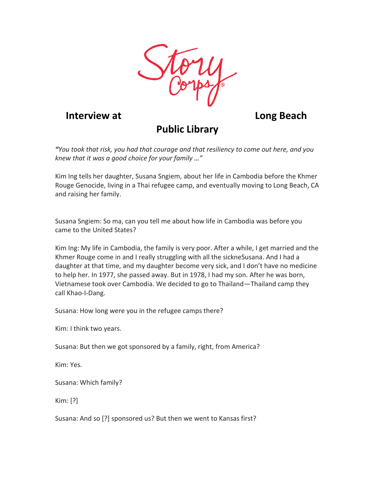

## **Interview at Long Beach**

## **Public Library**

*"You took that risk, you had that courage and that resiliency to come out here, and you knew that it was a good choice for your family …"*

Kim Ing tells her daughter, Susana Sngiem, about her life in Cambodia before the Khmer Rouge Genocide, living in a Thai refugee camp, and eventually moving to Long Beach, CA and raising her family.

Susana Sngiem: So ma, can you tell me about how life in Cambodia was before you came to the United States?

Kim Ing: My life in Cambodia, the family is very poor. After a while, I get married and the Khmer Rouge come in and I really struggling with all the sickneSusana. And I had a daughter at that time, and my daughter become very sick, and I don't have no medicine to help her. In 1977, she passed away. But in 1978, I had my son. After he was born, Vietnamese took over Cambodia. We decided to go to Thailand—Thailand camp they call Khao-I-Dang.

Susana: How long were you in the refugee camps there?

Kim: I think two years.

Susana: But then we got sponsored by a family, right, from America?

Kim: Yes.

Susana: Which family?

Kim: [?]

Susana: And so [?] sponsored us? But then we went to Kansas first?